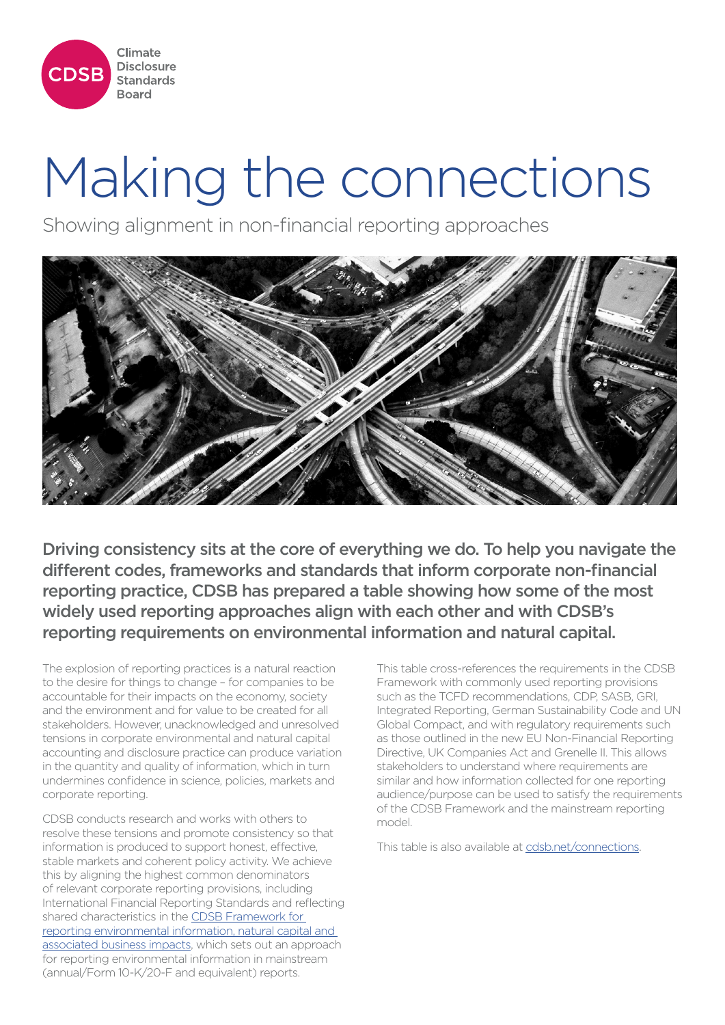

# Making the connections

Showing alignment in non-financial reporting approaches



Driving consistency sits at the core of everything we do. To help you navigate the different codes, frameworks and standards that inform corporate non-financial reporting practice, CDSB has prepared a table showing how some of the most widely used reporting approaches align with each other and with CDSB's reporting requirements on environmental information and natural capital.

The explosion of reporting practices is a natural reaction to the desire for things to change – for companies to be accountable for their impacts on the economy, society and the environment and for value to be created for all stakeholders. However, unacknowledged and unresolved tensions in corporate environmental and natural capital accounting and disclosure practice can produce variation in the quantity and quality of information, which in turn undermines confidence in science, policies, markets and corporate reporting.

CDSB conducts research and works with others to resolve these tensions and promote consistency so that information is produced to support honest, effective, stable markets and coherent policy activity. We achieve this by aligning the highest common denominators of relevant corporate reporting provisions, including International Financial Reporting Standards and reflecting shared characteristics in the CDSB Framework for reporting environmental information, natural capital and associated business impacts, which sets out an approach for reporting environmental information in mainstream (annual/Form 10-K/20-F and equivalent) reports.

This table cross-references the requirements in the CDSB Framework with commonly used reporting provisions such as the TCFD recommendations, CDP, SASB, GRI, Integrated Reporting, German Sustainability Code and UN Global Compact, and with regulatory requirements such as those outlined in the new EU Non-Financial Reporting Directive, UK Companies Act and Grenelle II. This allows stakeholders to understand where requirements are similar and how information collected for one reporting audience/purpose can be used to satisfy the requirements of the CDSB Framework and the mainstream reporting model.

This table is also available at cdsb.net/connections.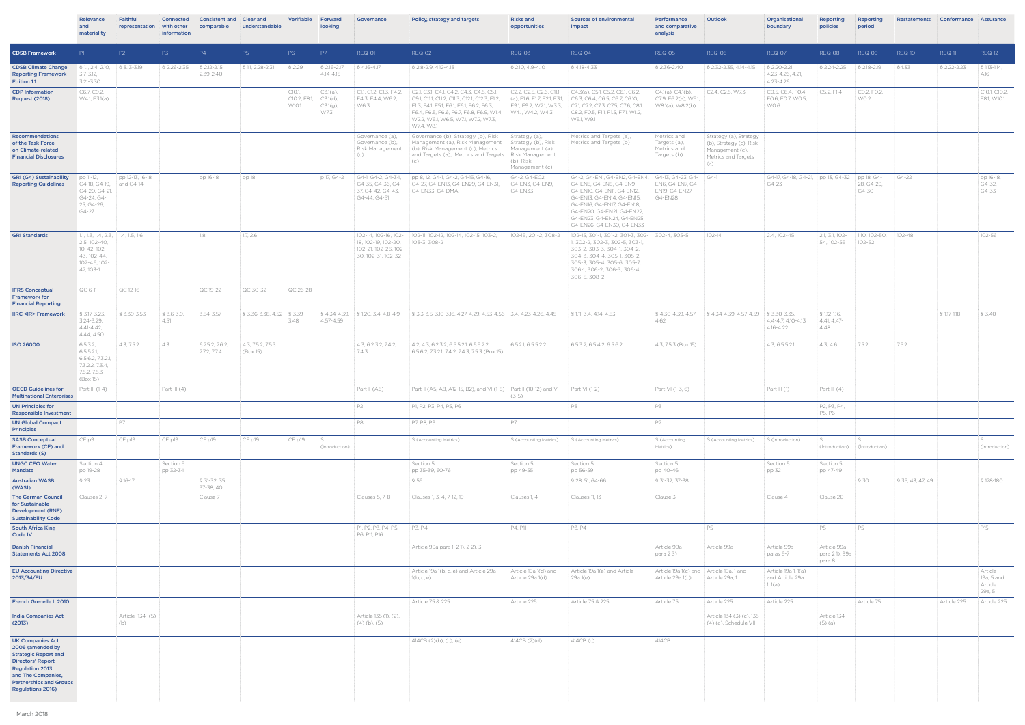|                                                                                                                                                                                                                      | Relevance<br>and<br>materiality                                                                              | Faithful<br>representation       | Connected<br>with other<br>information | <b>Consistent and</b><br>comparable | Clear and<br>understandable   | <b>Verifiable</b>              | Forward<br>looking                                  | Governance                                                                     | Policy, strategy and targets                                                                                                                                                                                                                                | <b>Risks and</b><br>opportunities                               | <b>Sources of environmental</b><br>impact                                                                                                                                                                                                                    | Performance<br>and comparative<br>analysis                     | Outlook                                                                                            | Organisational<br>boundary                                   | <b>Reporting</b><br>policies           | Reporting<br>period                  |               | Restatements Conformance Assurance |                                            |
|----------------------------------------------------------------------------------------------------------------------------------------------------------------------------------------------------------------------|--------------------------------------------------------------------------------------------------------------|----------------------------------|----------------------------------------|-------------------------------------|-------------------------------|--------------------------------|-----------------------------------------------------|--------------------------------------------------------------------------------|-------------------------------------------------------------------------------------------------------------------------------------------------------------------------------------------------------------------------------------------------------------|-----------------------------------------------------------------|--------------------------------------------------------------------------------------------------------------------------------------------------------------------------------------------------------------------------------------------------------------|----------------------------------------------------------------|----------------------------------------------------------------------------------------------------|--------------------------------------------------------------|----------------------------------------|--------------------------------------|---------------|------------------------------------|--------------------------------------------|
| <b>CDSB Framework</b>                                                                                                                                                                                                | PI                                                                                                           | P <sub>2</sub>                   | P3                                     | P4                                  | P5                            | P6                             | P7                                                  | REQ-01                                                                         | REQ-02                                                                                                                                                                                                                                                      | REQ-03                                                          | REQ-04                                                                                                                                                                                                                                                       | REQ-05                                                         | <b>REQ-06</b>                                                                                      | REQ-07                                                       | REQ-08                                 | REQ-09                               | REQ-10        | REQ-11                             | <b>REQ-12</b>                              |
| <b>CDSB Climate Change</b><br><b>Reporting Framework</b><br>Edition 1.1                                                                                                                                              | $\$\,1.1, 2.4, 2.10, \quad \$\,3.13-3.19$<br>$3.7 - 3.12$<br>3.21-3.30                                       |                                  | § 2.26-2.35                            | $\$\,2.12 - 2.15,$<br>2.39-2.40     | § 1.1, 2.28-2.31              | S 2.29                         | $\frac{1}{2}$ \$ 2.16-2.17,<br>$4.14 - 4.15$        | § 4.16-4.17                                                                    | § 2.8-2.9, 4.12-4.13                                                                                                                                                                                                                                        | \$2.10, 4.9-4.10                                                | § 4.18-4.33                                                                                                                                                                                                                                                  | \$2.36-2.40                                                    | \$2.32-2.35, 4.14-4.15                                                                             | $\frac{1}{2}$ \$ 2.20-2.21,<br>4.23-4.26, 4.21,<br>4.23-4.26 | § 2.24-2.25                            | S 2.18-2.19                          | §4.33         | \$2.22-2.23                        | § 1.13-1.14,<br>A16                        |
| <b>CDP Information</b><br>Request (2018)                                                                                                                                                                             | C6.7, C9.2,<br>W4.1, F3.1(a)                                                                                 |                                  |                                        |                                     |                               | C10.1<br>C10.2, F8.1,<br>W10.1 | C3.1(a)<br>$\subset$ 3.1(d),<br>$C3.1(g)$ ,<br>W7.3 | C1.1, C1.2, C1.3, F4.2,<br>F4.3, F4.4, W6.2.<br>W6.3                           | C2.1, C3.1, C4.1, C4.2, C4.3, C4.5, C5.1,<br>C9.1, C11.1, C11.2, C11.3, C12.1, C12.3, F1.2,<br>F1.3, F4.1, F5.1, F6.1, F6.1, F6.2, F6.3,<br>F6.4, F6.5, F6.6, F6.7, F6.8, F6.9, W1.4, W4.1, W4.2, W4.3<br>W2.2, W6.1, W6.5, W7.1, W7.2, W7.3,<br>W7.4, W8.1 | F9.1, F9.2, W2.1, W3.3,                                         | $CC2.2, C2.5, C2.6, C11.1 C4.3(a), C5.1, C5.2, C6.1, C6.2,$<br>(a), F1.6, F1.7, F2.1, F3.1, $\parallel$ C6.3, C6.4, C6.5, C6.7, C6.10,<br>C7.1, C7.2, C7.3, C7.5, C7.6, C8.1,<br>C8.2, FO.5, F1.1, F1.5, F7.1, W1.2,<br>W5.1, W9.1                           | CA.1(a), CA.1(b),<br>CC7.9, F6.2(a), W5.1,<br>W8.1(a), W8.2(b) | $CC2.4$ , C2.5, W7.3                                                                               | CO.5, C6.4, FO.4,<br>FO.6, FO.7, WO.5,<br>W0.6               | C5.2, F1.4                             | CO.2, FO.2,<br>W0.2                  |               |                                    | C10.1, C10.2,<br>F8.1, W10.1               |
| Recommendations<br>of the Task Force<br>on Climate-related<br><b>Financial Disclosures</b>                                                                                                                           |                                                                                                              |                                  |                                        |                                     |                               |                                |                                                     | Governance (a),<br>Governance (b),<br>Risk Management<br>(c)                   | Governance (b), Strategy (b), Risk<br>Management (a), Risk Management Strategy (b), Risk<br>(b), Risk Management (c), Metrics<br>and Targets (a), Metrics and Targets   Risk Management<br>(c)                                                              | Strategy (a),<br>Management (a),<br>(b), Risk<br>Management (c) | Metrics and Targets (a),<br>Metrics and Targets (b)                                                                                                                                                                                                          | Metrics and<br>Targets (a),<br>Metrics and<br>Targets (b)      | Strategy (a), Strategy<br>(b), Strategy (c), Risk<br>Management (c),<br>Metrics and Targets<br>(a) |                                                              |                                        |                                      |               |                                    |                                            |
| <b>GRI (G4) Sustainability</b><br><b>Reporting Guidelines</b>                                                                                                                                                        | pp 11-12,<br>G4-18, G4-19,<br>G4-20, G4-21,<br>G4-24, G4-<br>25, G4-26,<br>G4-27                             | pp 12-13, 16-18<br>$ $ and G4-14 |                                        | pp 16-18                            | pp 18                         |                                | p 17, G4-2                                          | G4-1, G4-2, G4-34,<br>G4-35, G4-36, G4-<br>37, G4-42, G4-43,<br>G4-44, G4-51   | pp 8, 12, G4-1, G4-2, G4-15, G4-16,<br>G4-27, G4-EN13, G4-EN29, G4-EN31,<br>G4-EN33, G4-DMA                                                                                                                                                                 | G4-2, G4-EC2,<br>G4-EN3, G4-EN9,<br>G4-EN33                     | G4-2, G4-EN1, G4-EN2, G4-EN4, G4-13, G4-23, G4-<br>G4-EN5, G4-EN8, G4-EN9,<br>G4-EN10, G4-EN11, G4-EN12,<br>G4-EN13, G4-EN14, G4-EN15,<br>G4-EN16, G4-EN17, G4-EN18,<br>G4-EN20, G4-EN21, G4-EN22,<br>G4-EN23, G4-EN24, G4-EN25<br>G4-EN26, G4-EN30, G4-EN33 | EN6, G4-EN7, G4-<br>EN19, G4-EN27,<br>G4-EN28                  | $G4-1$                                                                                             | G4-17, G4-18, G4-21, pp 13, G4-32 pp 18, G4-<br>G4-23        |                                        | 28, G4-29,<br>G4-30                  | G4-22         |                                    | pp 16-18,<br>G4-32,<br>G4-33               |
| <b>GRI Standards</b>                                                                                                                                                                                                 | 1.1, 1.3, 1.4, 2.3, 1.4, 1.5, 1.6<br>2.5, 102-40,<br>10-42, 102-<br>43, 102-44,<br>102-46, 102-<br>47, 103-1 |                                  |                                        | 1.8                                 | 1.7, 2.6                      |                                |                                                     | 18, 102-19, 102-20, 103-3, 308-2<br>102-21, 102-26, 102-<br>30, 102-31, 102-32 | 102-14, 102-16, 102- 102-11, 102-12, 102-14, 102-15, 103-2,                                                                                                                                                                                                 | 102-15, 201-2, 308-2                                            | 102-15, 301-1, 301-2, 301-3, 302- 302-4, 305-5<br>1, 302-2, 302-3, 302-5, 303-1,<br>303-2, 303-3, 304-1, 304-2,<br>304-3, 304-4, 305-1, 305-2,<br>305-3, 305-4, 305-6, 305-7,<br>306-1, 306-2, 306-3, 306-4,<br>306-5, 308-2                                 |                                                                | 102-14                                                                                             | 2.4, 102-45                                                  | 2.1, 3.1, 102-<br>54, 102-55           | 1.10, 102-50,<br>102-52              | $102 - 48$    |                                    | 102-56                                     |
| <b>IFRS Conceptual</b><br><b>Framework for</b>                                                                                                                                                                       | QC 6-11                                                                                                      | QC 12-16                         |                                        | QC 19-22                            | QC 30-32                      | QC 26-28                       |                                                     |                                                                                |                                                                                                                                                                                                                                                             |                                                                 |                                                                                                                                                                                                                                                              |                                                                |                                                                                                    |                                                              |                                        |                                      |               |                                    |                                            |
| <b>Financial Reporting</b><br><b>IIRC <ir> Framework</ir></b>                                                                                                                                                        | § 3.17-3.23,<br>3.24-3.29,<br>$4.41 - 4.42$<br>4.44, 4.50                                                    | \$3.39-3.53                      | $$3.6 - 3.9,$<br>4.51                  | 3.54-3.57                           | § 3.36-3.38, 4.52 § 3.39-     | 3.48                           | 4.57-4.59                                           |                                                                                | § 4.34-4.39, § 1.20, 3.4, 4.8-4.9 § 3.3-3.5, 3.10-3.16, 4.27-4.29, 4.53-4.56 3.4, 4.23-4.26, 4.45                                                                                                                                                           |                                                                 | § 1.11, 3.4, 4.14, 4.53                                                                                                                                                                                                                                      | 4.62                                                           | § 4.30-4.39, 4.57- § 4.34-4.39, 4.57-4.59 § 3.30-3.35,                                             | 4.4-4.7, 4.10-4.13.<br>4.16-4.22                             | § 1.12-1.16,<br>4.41, 4.47<br>4.48     |                                      |               | § 1.17-1.18                        | \$3.40                                     |
| <b>ISO 26000</b>                                                                                                                                                                                                     | 6.5.3.2.<br>6.5.5.2.1<br>6.5.6.2, 7.3.2.1,<br>7.3.2.2, 7.3.4,<br>7.5.2, 7.5.3<br>(Box 15)                    | 4.3, 7.5.2                       | 4.3                                    | 6.7.5.2, 7.6.2,<br>7.7.2, 7.7.4     | 4.3, 7.5.2, 7.5.3<br>(Box 15) |                                |                                                     | 4.3, 6.2.3.2, 7.4.2,<br>7.4.3                                                  | 4.2, 4.3, 6.2.3.2, 6.5.5.2.1, 6.5.5.2.2,<br>6.5.6.2, 7.3.2.1, 7.4.2, 7.4.3, 7.5.3 (Box 15)                                                                                                                                                                  | 6.5.2.1, 6.5.5.2.2                                              | 6.5.3.2, 6.5.4.2, 6.5.6.2                                                                                                                                                                                                                                    | 4.3, 7.5.3 (Box 15)                                            |                                                                                                    | 4.3, 6.5.5.2.1                                               | 4.3, 4.6                               | 7.5.2                                | 7.5.2         |                                    |                                            |
| <b>OECD Guidelines for</b><br><b>Multinational Enterprises</b>                                                                                                                                                       | Part III $(1-4)$                                                                                             |                                  | Part III $(4)$                         |                                     |                               |                                |                                                     | Part II (A6)                                                                   | Part II (A5, A8, A12-15, B2), and VI (1-8) Part II (10-12) and VI Part VI (1-2)                                                                                                                                                                             | $(3-5)$                                                         |                                                                                                                                                                                                                                                              | Part VI (1-3, 6)                                               |                                                                                                    | Part III $(1)$                                               | Part III $(4)$                         |                                      |               |                                    |                                            |
| <b>UN Principles for</b><br><b>Responsible Investment</b>                                                                                                                                                            |                                                                                                              |                                  |                                        |                                     |                               |                                |                                                     | P2                                                                             | P1, P2, P3, P4, P5, P6                                                                                                                                                                                                                                      |                                                                 | P3                                                                                                                                                                                                                                                           | P3                                                             |                                                                                                    |                                                              | P2, P3, P4,<br>P5, P6                  |                                      |               |                                    |                                            |
| <b>UN Global Compact</b>                                                                                                                                                                                             |                                                                                                              | <b>P7</b>                        |                                        |                                     |                               |                                |                                                     | P8                                                                             | P7, P8, P9                                                                                                                                                                                                                                                  | P7                                                              |                                                                                                                                                                                                                                                              | P7                                                             |                                                                                                    |                                                              |                                        |                                      |               |                                    |                                            |
| <b>Principles</b><br><b>SASB Conceptual</b><br>Framework (CF) and<br><b>Standards (S)</b>                                                                                                                            | CF p9                                                                                                        | CF p19                           | CF p19                                 | CFp19                               | CF p19                        | CF p19                         | ls.<br>(Introduction)                               |                                                                                | S (Accounting Metrics)                                                                                                                                                                                                                                      | S (Accounting Metrics)                                          | S (Accounting Metrics)                                                                                                                                                                                                                                       | S (Accounting<br>Metrics)                                      | S (Accounting Metrics) S (Introduction)                                                            |                                                              | IS.                                    | l S<br>(Introduction) (Introduction) |               |                                    | S.<br>(Introduction)                       |
| <b>UNGC CEO Water</b><br>Mandate                                                                                                                                                                                     | Section 4<br>pp 19-28                                                                                        |                                  | Section 5<br>pp 32-34                  |                                     |                               |                                |                                                     |                                                                                | Section 5<br>pp 35-39, 60-76                                                                                                                                                                                                                                | Section 5<br>pp 49-55                                           | Section 5<br>pp 56-59                                                                                                                                                                                                                                        | Section 5<br>pp 40-46                                          |                                                                                                    | Section 5<br>pp 32                                           | Section 5<br>pp 47-49                  |                                      |               |                                    |                                            |
| <b>Australian WASB</b><br>(WAS1)                                                                                                                                                                                     | \$23                                                                                                         | § 16-17                          |                                        | § 31-32, 35,<br>37-38, 40           |                               |                                |                                                     |                                                                                | § 56                                                                                                                                                                                                                                                        |                                                                 | \$28,51,64-66                                                                                                                                                                                                                                                | § 31-32, 37-38                                                 |                                                                                                    |                                                              |                                        | § 30                                 | \$35,43,47,49 |                                    | \$178-180                                  |
| <b>The German Council</b><br>for Sustainable<br><b>Development (RNE)</b><br><b>Sustainability Code</b>                                                                                                               | Clauses 2, 7                                                                                                 |                                  |                                        | Clause 7                            |                               |                                |                                                     | Clauses 5, 7, 8                                                                | Clauses 1, 3, 4, 7, 12, 19                                                                                                                                                                                                                                  | Clauses 1, 4                                                    | Clauses 11, 13                                                                                                                                                                                                                                               | Clause 3                                                       |                                                                                                    | Clause 4                                                     | Clause 20                              |                                      |               |                                    |                                            |
| <b>South Africa King</b><br>Code IV                                                                                                                                                                                  |                                                                                                              |                                  |                                        |                                     |                               |                                |                                                     | P1, P2, P3, P4, P5,<br>P6, P11, P16                                            | P3, P.4                                                                                                                                                                                                                                                     | P4, P11                                                         | P3, P4                                                                                                                                                                                                                                                       |                                                                | P5                                                                                                 |                                                              | P5                                     | P5                                   |               |                                    | P15                                        |
| <b>Danish Financial</b><br><b>Statements Act 2008</b>                                                                                                                                                                |                                                                                                              |                                  |                                        |                                     |                               |                                |                                                     |                                                                                | Article 99a para 1, 2 1), 2 2), 3                                                                                                                                                                                                                           |                                                                 |                                                                                                                                                                                                                                                              | Article 99a<br>para 2 3)                                       | Article 99a                                                                                        | Article 99a<br>paras 6-7                                     | Article 99a<br>para 21), 99a<br>para 8 |                                      |               |                                    |                                            |
| <b>EU Accounting Directive</b><br>2013/34/EU                                                                                                                                                                         |                                                                                                              |                                  |                                        |                                     |                               |                                |                                                     |                                                                                | Article 19a 1(b, c, e) and Article 29a<br>1(b, c, e)                                                                                                                                                                                                        | Article 19a 1(d) and<br>Article 29a 1(d)                        | Article 19a 1(e) and Article<br>29a 1(e)                                                                                                                                                                                                                     | Article 19a 1(c) and Article 19a, 1 and<br>Article 29a 1(c)    | Article 29a, 1                                                                                     | Article 19a 1, 1(a)<br>and Article 29a<br>1, 1(a)            |                                        |                                      |               |                                    | Article<br>19a, 5 and<br>Article<br>29a, 5 |
| French Grenelle II 2010                                                                                                                                                                                              |                                                                                                              |                                  |                                        |                                     |                               |                                |                                                     |                                                                                | Article 75 & 225                                                                                                                                                                                                                                            | Article 225                                                     | Article 75 & 225                                                                                                                                                                                                                                             | Article 75                                                     | Article 225                                                                                        | Article 225                                                  |                                        | Article 75                           |               | Article 225                        | Article 225                                |
| <b>India Companies Act</b><br>(2013)                                                                                                                                                                                 |                                                                                                              | Article 134 (5)<br>(b)           |                                        |                                     |                               |                                |                                                     | Article 135 (1), (2),<br>$(4)$ (b), (5)                                        |                                                                                                                                                                                                                                                             |                                                                 |                                                                                                                                                                                                                                                              |                                                                | Article 134 (3) (c), 135<br>(4) (a), Schedule VII                                                  |                                                              | Article 134<br>$(5)$ (a)               |                                      |               |                                    |                                            |
| <b>UK Companies Act</b><br>2006 (amended by<br><b>Strategic Report and</b><br><b>Directors' Report</b><br><b>Regulation 2013</b><br>and The Companies,<br><b>Partnerships and Groups</b><br><b>Regulations 2016)</b> |                                                                                                              |                                  |                                        |                                     |                               |                                |                                                     |                                                                                | 414CB(2)(b), (c), (e)                                                                                                                                                                                                                                       | 414CB (2)(d)                                                    | 414CB (c)                                                                                                                                                                                                                                                    | 414CB                                                          |                                                                                                    |                                                              |                                        |                                      |               |                                    |                                            |